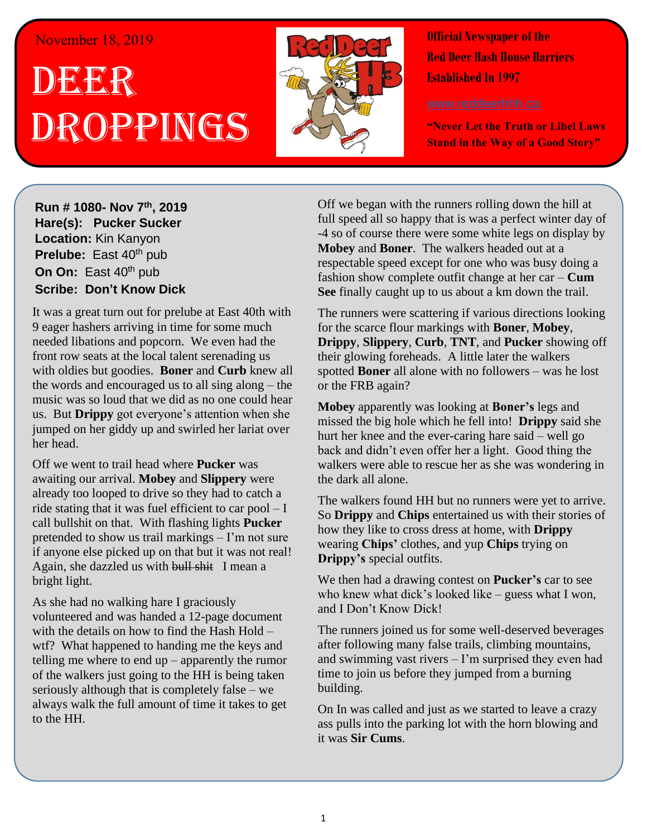## November 18, 2019

## . 1 DEER h  $\overline{\phantom{a}}$ Droppings



**Official Newspaper of the Red Deer Hash House Harriers Established In 1997** 

**"Never Let the Truth or Libel Laws Stand in the Way of a Good Story"**

**Run # 1075- Oct. 3 rd, 2019 Hare(s): Deep Throat with a little help from her Run # 1080- Nov 7 th, 2019 virgin friend Hare(s): Pucker Sucker Location:** Kin Kanyon **Prelube:** East 40<sup>th</sup> pub **On On:** East 40<sup>th</sup> pub **Sir Siri** East to pas *Have Scribe: Don't Know Dick Hard day of <b>Scribe: Don't Know Dick* 

It was a great turn out for prelube at East 40th with 9 eager hashers arriving in time for some much front row seats at the local talent serenading us the words and encouraged us to all sing along – the music was so loud that we did as no one could hear us. But **Drippy** got everyone's attention when she **We have Rummy, Broken Bones, Sir and Broken Bones, Sir and Broken Bones, Sir and Broken Bones, Sir and Broken Broken Broken Broken Broken Broken Broken Broken Broken Broken Broken Broken Broken Broken Broken Broken Broken** needed libations and popcorn. We even had the with oldies but goodies. **Boner** and **Curb** knew all jumped on her giddy up and swirled her lariat over

Off we went to trail head where **Pucker** was awaiting our arrival. Mobey and Slippery were ride stating that it was fuel efficient to car pool – I *gospel that comes out of your mouth that they create a*  call bullshit on that. With flashing lights **Pucker** if anyone else picked up on that but it was not real! Again, she dazzled us with bull shit I mean a already too looped to drive so they had to catch a pretended to show us trail markings – I'm not sure bright light.

As she had no walking hare I graciously volunteered and was handed a 12-page document with the details on now to find the Frash Frota  $-$  wtf? What happened to handing me the keys and telling me where to end up – apparently the rumor of the walkers just going to the HH is being taken always walk the full amount of time it takes to get to the HH. I think of it can stay. I normally charge for this  $\mathcal{L}$ with the details on how to find the Hash Hold – seriously although that is completely false – we

Off we began with the runners rolling down the hill at full speed all so happy that is was a perfect winter day of *its fucking colder than shit?* **Mobey** and **Boner**. The walkers headed out at a respectable speed except for one who was busy doing a fashion show complete outfit change at her car – **Cum** See finally caught up to us about a km down the trail. -4 so of course there were some white legs on display by respectable speed except for one who was busy doing a

The runners were scattering if various directions looking for the scarce flour markings with **Boner**, Mobey,  $\mu$  for glowing foreheads. A little later the walkers spotted **Boner** all alone with no followers – was he lost **Drippy**, **Slippery**, **Curb**, **TNT**, and **Pucker** showing off or the FRB again?

*Have you ever started a run and thought – The walkers*  missed the big hole which he fell into! **Drippy** said she *Hold we can clearly see and drink beer the whole time*  hurt her knee and the ever-caring hare said – well go walkers were able to rescue her as she was wondering in  $W$  was an around  $W$ . **Mobey** apparently was looking at **Boner's** legs and back and didn't even offer her a light. Good thing the the dark all alone.

Fire walkers found TITF out no runners were yet to arrive.<br>So **Drippy** and **Chips** entertained us with their stories of how they like to cross dress at home, with **Drippy** wearing Chips' clothes, and yup Chips trying on  $m_{\text{F}}$  is specifically seen The walkers found HH but no runners were yet to arrive. **Drippy's** special outfits.

who knew what dick's looked like – guess what I won, *put down that you know blow.* We then had a drawing contest on **Pucker's** car to see and I Don't Know Dick!

*later you likely wouldn't need to buy any because the*  after following many false trails, climbing mountains, and swimming vast rivers – I'm surprised they even had **You may have not building.** There was so much in the was so much in the was so much in the was so much in the was The runners joined us for some well-deserved beverages time to join us before they jumped from a burning

On In was called and just as we started to leave a crazy ass pulls into the parking lot with the horn blowing and  $\alpha$  is  $\alpha$  chips. it was **Sir Cums**.